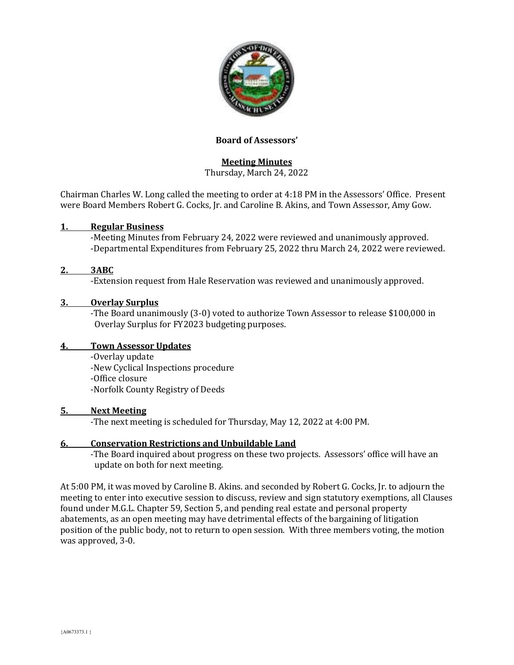

### **Board of Assessors'**

# **Meeting Minutes**

Thursday, March 24, 2022

Chairman Charles W. Long called the meeting to order at 4:18 PM in the Assessors' Office. Present were Board Members Robert G. Cocks, Jr. and Caroline B. Akins, and Town Assessor, Amy Gow.

### **1. Regular Business**

-Meeting Minutes from February 24, 2022 were reviewed and unanimously approved. -Departmental Expenditures from February 25, 2022 thru March 24, 2022 were reviewed.

### **2. 3ABC**

-Extension request from Hale Reservation was reviewed and unanimously approved.

### **3. Overlay Surplus**

-The Board unanimously (3-0) voted to authorize Town Assessor to release \$100,000 in Overlay Surplus for FY2023 budgeting purposes.

### **4. Town Assessor Updates**

-Overlay update

-New Cyclical Inspections procedure

-Office closure

-Norfolk County Registry of Deeds

#### **5. Next Meeting**

-The next meeting is scheduled for Thursday, May 12, 2022 at 4:00 PM.

### **6. Conservation Restrictions and Unbuildable Land**

-The Board inquired about progress on these two projects. Assessors' office will have an update on both for next meeting.

At 5:00 PM, it was moved by Caroline B. Akins. and seconded by Robert G. Cocks, Jr. to adjourn the meeting to enter into executive session to discuss, review and sign statutory exemptions, all Clauses found under M.G.L. Chapter 59, Section 5, and pending real estate and personal property abatements, as an open meeting may have detrimental effects of the bargaining of litigation position of the public body, not to return to open session. With three members voting, the motion was approved, 3-0.